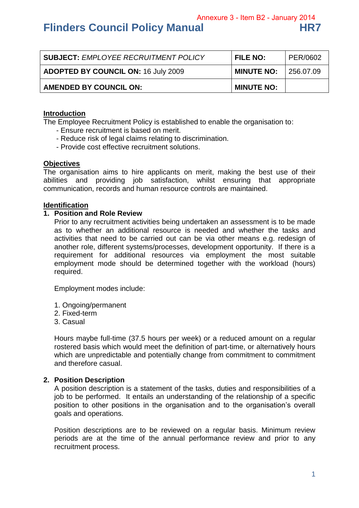Annexure 3 - Item B2 - January 2014

# **Flinders Council Policy Manual HR7**

| <b>SUBJECT: EMPLOYEE RECRUITMENT POLICY</b> | <b>FILE NO:</b>   | PER/0602  |
|---------------------------------------------|-------------------|-----------|
| <b>ADOPTED BY COUNCIL ON: 16 July 2009</b>  | <b>MINUTE NO:</b> | 256.07.09 |
| <b>AMENDED BY COUNCIL ON:</b>               | <b>MINUTE NO:</b> |           |

## **Introduction**

The Employee Recruitment Policy is established to enable the organisation to:

- Ensure recruitment is based on merit.
- Reduce risk of legal claims relating to discrimination.
- Provide cost effective recruitment solutions.

#### **Objectives**

The organisation aims to hire applicants on merit, making the best use of their abilities and providing job satisfaction, whilst ensuring that appropriate communication, records and human resource controls are maintained.

#### **Identification**

#### **1. Position and Role Review**

Prior to any recruitment activities being undertaken an assessment is to be made as to whether an additional resource is needed and whether the tasks and activities that need to be carried out can be via other means e.g. redesign of another role, different systems/processes, development opportunity. If there is a requirement for additional resources via employment the most suitable employment mode should be determined together with the workload (hours) required.

Employment modes include:

- 1. Ongoing/permanent
- 2. Fixed-term
- 3. Casual

Hours maybe full-time (37.5 hours per week) or a reduced amount on a regular rostered basis which would meet the definition of part-time, or alternatively hours which are unpredictable and potentially change from commitment to commitment and therefore casual.

## **2. Position Description**

A position description is a statement of the tasks, duties and responsibilities of a job to be performed. It entails an understanding of the relationship of a specific position to other positions in the organisation and to the organisation's overall goals and operations.

Position descriptions are to be reviewed on a regular basis. Minimum review periods are at the time of the annual performance review and prior to any recruitment process.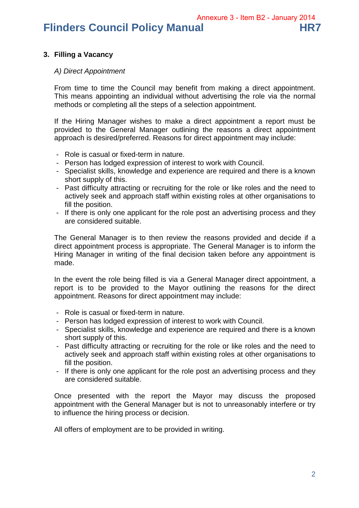**Flinders Council Policy Manual HR7** 

# **3. Filling a Vacancy**

# *A) Direct Appointment*

From time to time the Council may benefit from making a direct appointment. This means appointing an individual without advertising the role via the normal methods or completing all the steps of a selection appointment.

If the Hiring Manager wishes to make a direct appointment a report must be provided to the General Manager outlining the reasons a direct appointment approach is desired/preferred. Reasons for direct appointment may include:

- Role is casual or fixed-term in nature.
- Person has lodged expression of interest to work with Council.
- Specialist skills, knowledge and experience are required and there is a known short supply of this.
- Past difficulty attracting or recruiting for the role or like roles and the need to actively seek and approach staff within existing roles at other organisations to fill the position.
- If there is only one applicant for the role post an advertising process and they are considered suitable.

The General Manager is to then review the reasons provided and decide if a direct appointment process is appropriate. The General Manager is to inform the Hiring Manager in writing of the final decision taken before any appointment is made.

In the event the role being filled is via a General Manager direct appointment, a report is to be provided to the Mayor outlining the reasons for the direct appointment. Reasons for direct appointment may include:

- Role is casual or fixed-term in nature.
- Person has lodged expression of interest to work with Council.
- Specialist skills, knowledge and experience are required and there is a known short supply of this.
- Past difficulty attracting or recruiting for the role or like roles and the need to actively seek and approach staff within existing roles at other organisations to fill the position.
- If there is only one applicant for the role post an advertising process and they are considered suitable.

Once presented with the report the Mayor may discuss the proposed appointment with the General Manager but is not to unreasonably interfere or try to influence the hiring process or decision.

All offers of employment are to be provided in writing.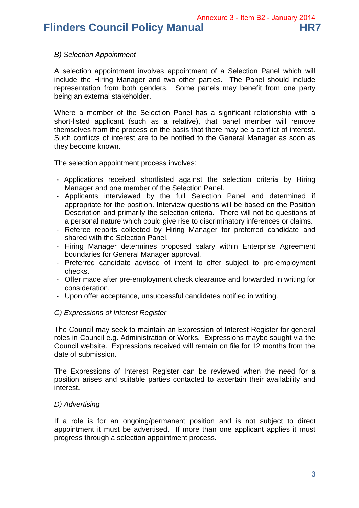Annexure 3 - Item B2 - January 2014

**Flinders Council Policy Manual HR7** 

## *B) Selection Appointment*

A selection appointment involves appointment of a Selection Panel which will include the Hiring Manager and two other parties. The Panel should include representation from both genders. Some panels may benefit from one party being an external stakeholder.

Where a member of the Selection Panel has a significant relationship with a short-listed applicant (such as a relative), that panel member will remove themselves from the process on the basis that there may be a conflict of interest. Such conflicts of interest are to be notified to the General Manager as soon as they become known.

The selection appointment process involves:

- Applications received shortlisted against the selection criteria by Hiring Manager and one member of the Selection Panel.
- Applicants interviewed by the full Selection Panel and determined if appropriate for the position. Interview questions will be based on the Position Description and primarily the selection criteria. There will not be questions of a personal nature which could give rise to discriminatory inferences or claims.
- Referee reports collected by Hiring Manager for preferred candidate and shared with the Selection Panel.
- Hiring Manager determines proposed salary within Enterprise Agreement boundaries for General Manager approval.
- Preferred candidate advised of intent to offer subject to pre-employment checks.
- Offer made after pre-employment check clearance and forwarded in writing for consideration.
- Upon offer acceptance, unsuccessful candidates notified in writing.

# *C) Expressions of Interest Register*

The Council may seek to maintain an Expression of Interest Register for general roles in Council e.g. Administration or Works. Expressions maybe sought via the Council website. Expressions received will remain on file for 12 months from the date of submission.

The Expressions of Interest Register can be reviewed when the need for a position arises and suitable parties contacted to ascertain their availability and interest.

# *D) Advertising*

If a role is for an ongoing/permanent position and is not subject to direct appointment it must be advertised. If more than one applicant applies it must progress through a selection appointment process.